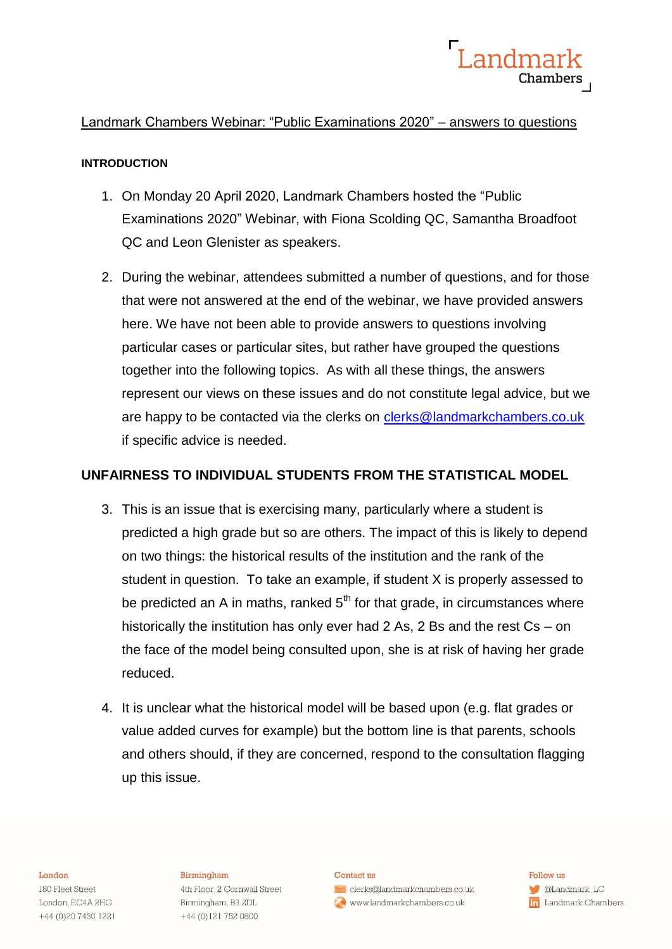

### Landmark Chambers Webinar: "Public Examinations 2020" – answers to questions

### **INTRODUCTION**

- 1. On Monday 20 April 2020, Landmark Chambers hosted the "Public Examinations 2020" Webinar, with Fiona Scolding QC, Samantha Broadfoot QC and Leon Glenister as speakers.
- 2. During the webinar, attendees submitted a number of questions, and for those that were not answered at the end of the webinar, we have provided answers here. We have not been able to provide answers to questions involving particular cases or particular sites, but rather have grouped the questions together into the following topics. As with all these things, the answers represent our views on these issues and do not constitute legal advice, but we are happy to be contacted via the clerks on [clerks@landmarkchambers.co.uk](mailto:clerks@landmarkchambers.co.uk) if specific advice is needed.

### **UNFAIRNESS TO INDIVIDUAL STUDENTS FROM THE STATISTICAL MODEL**

- 3. This is an issue that is exercising many, particularly where a student is predicted a high grade but so are others. The impact of this is likely to depend on two things: the historical results of the institution and the rank of the student in question. To take an example, if student X is properly assessed to be predicted an A in maths, ranked  $5<sup>th</sup>$  for that grade, in circumstances where historically the institution has only ever had 2 As, 2 Bs and the rest Cs – on the face of the model being consulted upon, she is at risk of having her grade reduced.
- 4. It is unclear what the historical model will be based upon (e.g. flat grades or value added curves for example) but the bottom line is that parents, schools and others should, if they are concerned, respond to the consultation flagging up this issue.

#### London

180 Fleet Street London, EC4A 2HG +44 (0) 20 7430 1221

### Birmingham

4th Floor, 2 Cornwall Street Birmingham, B3 2DL +44 (0)121 752 0800

#### Contact us

clerks@landmarkchambers.co.uk www.landmarkchambers.co.uk

Follow us **C**Landmark\_LC **in** Landmark Chambers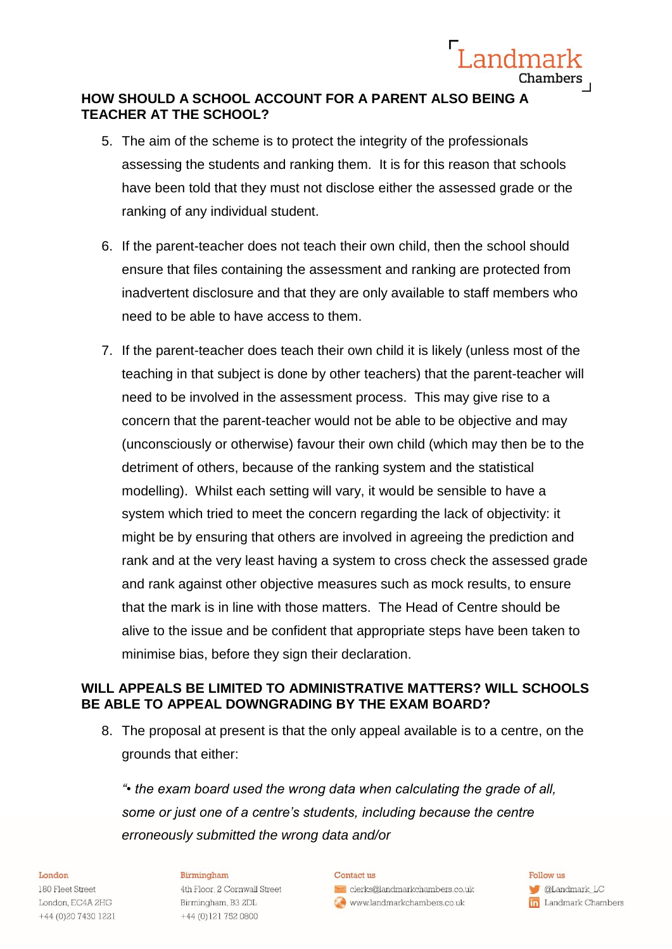

# **HOW SHOULD A SCHOOL ACCOUNT FOR A PARENT ALSO BEING A TEACHER AT THE SCHOOL?**

- 5. The aim of the scheme is to protect the integrity of the professionals assessing the students and ranking them. It is for this reason that schools have been told that they must not disclose either the assessed grade or the ranking of any individual student.
- 6. If the parent-teacher does not teach their own child, then the school should ensure that files containing the assessment and ranking are protected from inadvertent disclosure and that they are only available to staff members who need to be able to have access to them.
- 7. If the parent-teacher does teach their own child it is likely (unless most of the teaching in that subject is done by other teachers) that the parent-teacher will need to be involved in the assessment process. This may give rise to a concern that the parent-teacher would not be able to be objective and may (unconsciously or otherwise) favour their own child (which may then be to the detriment of others, because of the ranking system and the statistical modelling). Whilst each setting will vary, it would be sensible to have a system which tried to meet the concern regarding the lack of objectivity: it might be by ensuring that others are involved in agreeing the prediction and rank and at the very least having a system to cross check the assessed grade and rank against other objective measures such as mock results, to ensure that the mark is in line with those matters. The Head of Centre should be alive to the issue and be confident that appropriate steps have been taken to minimise bias, before they sign their declaration.

# **WILL APPEALS BE LIMITED TO ADMINISTRATIVE MATTERS? WILL SCHOOLS BE ABLE TO APPEAL DOWNGRADING BY THE EXAM BOARD?**

8. The proposal at present is that the only appeal available is to a centre, on the grounds that either:

*"• the exam board used the wrong data when calculating the grade of all, some or just one of a centre's students, including because the centre erroneously submitted the wrong data and/or* 

### London

180 Fleet Street London, EC4A 2HG +44 (0)20 7430 1221

### Birmingham

4th Floor, 2 Cornwall Street Birmingham, B3 2DL +44 (0) 121 752 0800

#### Contact us

clerks@landmarkchambers.co.uk www.landmarkchambers.co.uk

### Follow us **CLandmark\_LC in** Landmark Chambers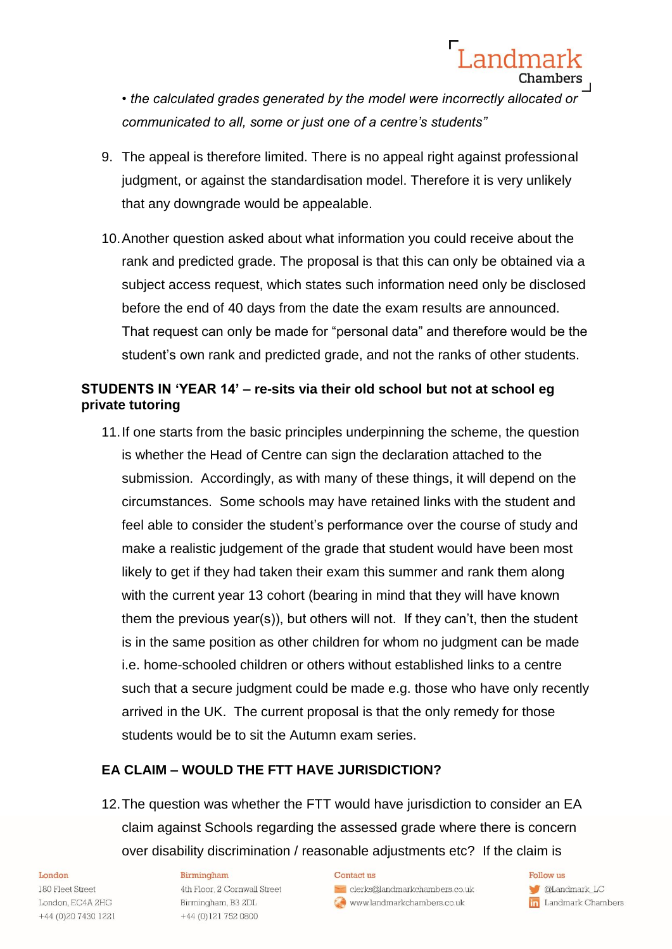*• the calculated grades generated by the model were incorrectly allocated or communicated to all, some or just one of a centre's students"*

- 9. The appeal is therefore limited. There is no appeal right against professional judgment, or against the standardisation model. Therefore it is very unlikely that any downgrade would be appealable.
- 10.Another question asked about what information you could receive about the rank and predicted grade. The proposal is that this can only be obtained via a subject access request, which states such information need only be disclosed before the end of 40 days from the date the exam results are announced. That request can only be made for "personal data" and therefore would be the student's own rank and predicted grade, and not the ranks of other students.

# **STUDENTS IN 'YEAR 14' – re-sits via their old school but not at school eg private tutoring**

11.If one starts from the basic principles underpinning the scheme, the question is whether the Head of Centre can sign the declaration attached to the submission. Accordingly, as with many of these things, it will depend on the circumstances. Some schools may have retained links with the student and feel able to consider the student's performance over the course of study and make a realistic judgement of the grade that student would have been most likely to get if they had taken their exam this summer and rank them along with the current year 13 cohort (bearing in mind that they will have known them the previous year(s)), but others will not. If they can't, then the student is in the same position as other children for whom no judgment can be made i.e. home-schooled children or others without established links to a centre such that a secure judgment could be made e.g. those who have only recently arrived in the UK. The current proposal is that the only remedy for those students would be to sit the Autumn exam series.

### **EA CLAIM – WOULD THE FTT HAVE JURISDICTION?**

12.The question was whether the FTT would have jurisdiction to consider an EA claim against Schools regarding the assessed grade where there is concern over disability discrimination / reasonable adjustments etc? If the claim is

### London

180 Fleet Street London, EC4A 2HG +44 (0) 20 7430 1221

### Birmingham

4th Floor, 2 Cornwall Street Birmingham, B3 2DL +44 (0)121 752 0800

#### Contact us

clerks@landmarkchambers.co.uk www.landmarkchambers.co.uk

 $F_0$ llow  $n$ s CLandmark\_LC **in** Landmark Chambers